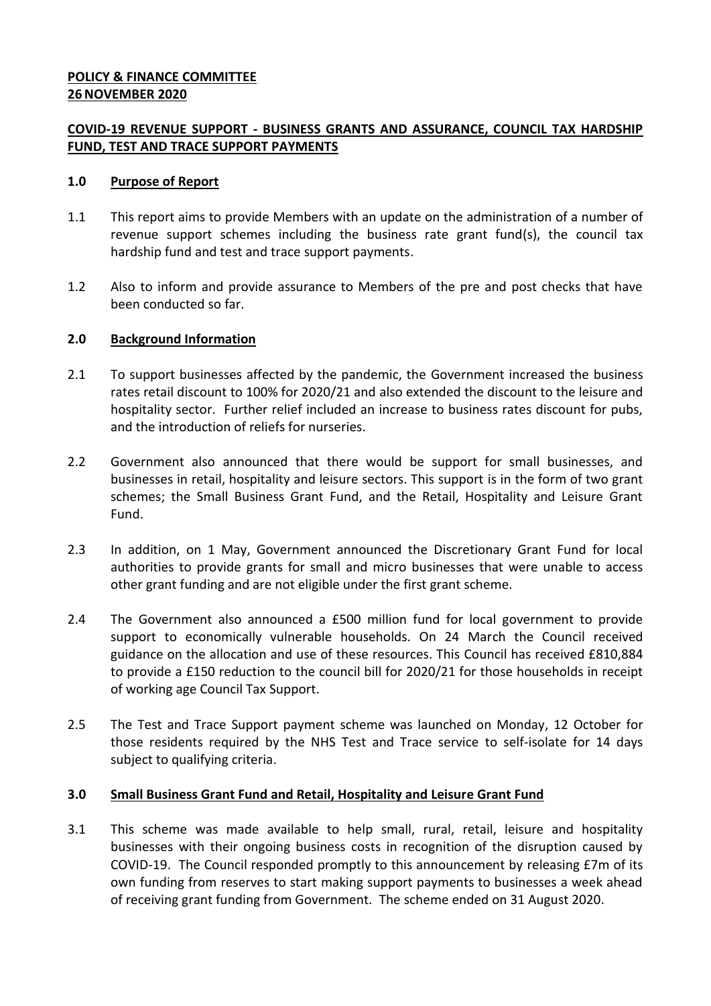### **POLICY & FINANCE COMMITTEE 26NOVEMBER 2020**

### **COVID-19 REVENUE SUPPORT - BUSINESS GRANTS AND ASSURANCE, COUNCIL TAX HARDSHIP FUND, TEST AND TRACE SUPPORT PAYMENTS**

### **1.0 Purpose of Report**

- 1.1 This report aims to provide Members with an update on the administration of a number of revenue support schemes including the business rate grant fund(s), the council tax hardship fund and test and trace support payments.
- 1.2 Also to inform and provide assurance to Members of the pre and post checks that have been conducted so far.

### **2.0 Background Information**

- 2.1 To support businesses affected by the pandemic, the Government increased the business rates retail discount to 100% for 2020/21 and also extended the discount to the leisure and hospitality sector. Further relief included an increase to business rates discount for pubs, and the introduction of reliefs for nurseries.
- 2.2 Government also announced that there would be support for small businesses, and businesses in retail, hospitality and leisure sectors. This support is in the form of two grant schemes; the Small Business Grant Fund, and the Retail, Hospitality and Leisure Grant Fund.
- 2.3 In addition, on 1 May, Government announced the Discretionary Grant Fund for local authorities to provide grants for small and micro businesses that were unable to access other grant funding and are not eligible under the first grant scheme.
- 2.4 The Government also announced a £500 million fund for local government to provide support to economically vulnerable households. On 24 March the Council received guidance on the allocation and use of these resources. This Council has received £810,884 to provide a £150 reduction to the council bill for 2020/21 for those households in receipt of working age Council Tax Support.
- 2.5 The Test and Trace Support payment scheme was launched on Monday, 12 October for those residents required by the NHS Test and Trace service to self-isolate for 14 days subject to qualifying criteria.

### **3.0 Small Business Grant Fund and Retail, Hospitality and Leisure Grant Fund**

3.1 This scheme was made available to help small, rural, retail, leisure and hospitality businesses with their ongoing business costs in recognition of the disruption caused by COVID-19. The Council responded promptly to this announcement by releasing £7m of its own funding from reserves to start making support payments to businesses a week ahead of receiving grant funding from Government. The scheme ended on 31 August 2020.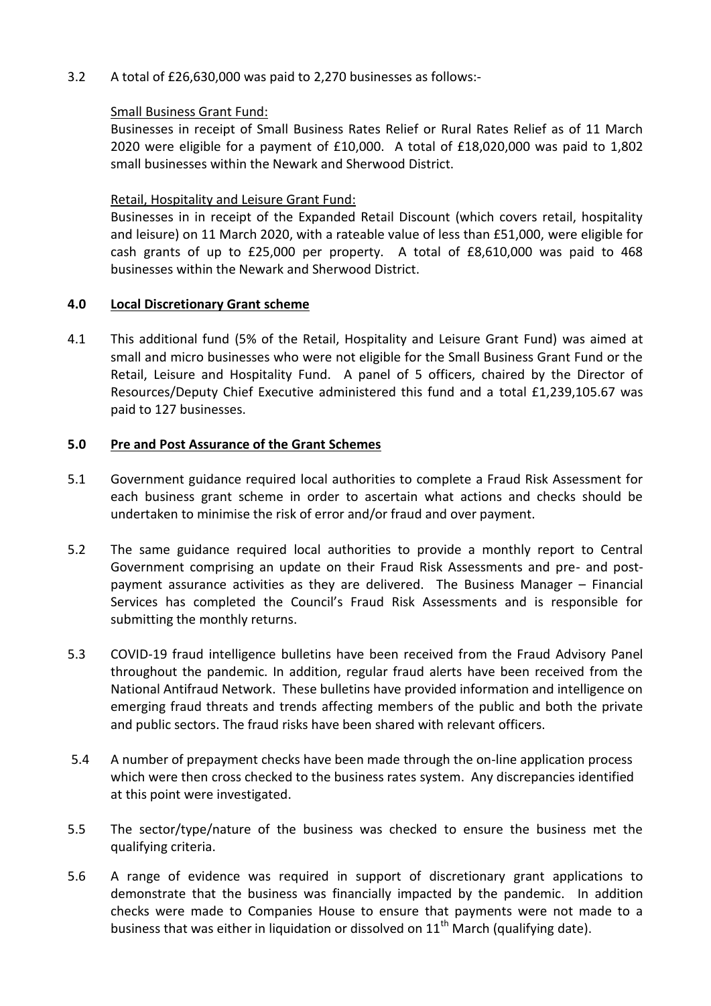3.2 A total of £26,630,000 was paid to 2,270 businesses as follows:-

### Small Business Grant Fund:

Businesses in receipt of Small Business Rates Relief or Rural Rates Relief as of 11 March 2020 were eligible for a payment of £10,000. A total of £18,020,000 was paid to 1,802 small businesses within the Newark and Sherwood District.

### Retail, Hospitality and Leisure Grant Fund:

Businesses in in receipt of the Expanded Retail Discount (which covers retail, hospitality and leisure) on 11 March 2020, with a rateable value of less than £51,000, were eligible for cash grants of up to £25,000 per property. A total of £8,610,000 was paid to 468 businesses within the Newark and Sherwood District.

### **4.0 Local Discretionary Grant scheme**

4.1 This additional fund (5% of the Retail, Hospitality and Leisure Grant Fund) was aimed at small and micro businesses who were not eligible for the Small Business Grant Fund or the Retail, Leisure and Hospitality Fund. A panel of 5 officers, chaired by the Director of Resources/Deputy Chief Executive administered this fund and a total £1,239,105.67 was paid to 127 businesses.

### **5.0 Pre and Post Assurance of the Grant Schemes**

- 5.1 Government guidance required local authorities to complete a Fraud Risk Assessment for each business grant scheme in order to ascertain what actions and checks should be undertaken to minimise the risk of error and/or fraud and over payment.
- 5.2 The same guidance required local authorities to provide a monthly report to Central Government comprising an update on their Fraud Risk Assessments and pre- and postpayment assurance activities as they are delivered. The Business Manager – Financial Services has completed the Council's Fraud Risk Assessments and is responsible for submitting the monthly returns.
- 5.3 COVID-19 fraud intelligence bulletins have been received from the Fraud Advisory Panel throughout the pandemic. In addition, regular fraud alerts have been received from the National Antifraud Network. These bulletins have provided information and intelligence on emerging fraud threats and trends affecting members of the public and both the private and public sectors. The fraud risks have been shared with relevant officers.
- 5.4 A number of prepayment checks have been made through the on-line application process which were then cross checked to the business rates system. Any discrepancies identified at this point were investigated.
- 5.5 The sector/type/nature of the business was checked to ensure the business met the qualifying criteria.
- 5.6 A range of evidence was required in support of discretionary grant applications to demonstrate that the business was financially impacted by the pandemic. In addition checks were made to Companies House to ensure that payments were not made to a business that was either in liquidation or dissolved on  $11<sup>th</sup>$  March (qualifying date).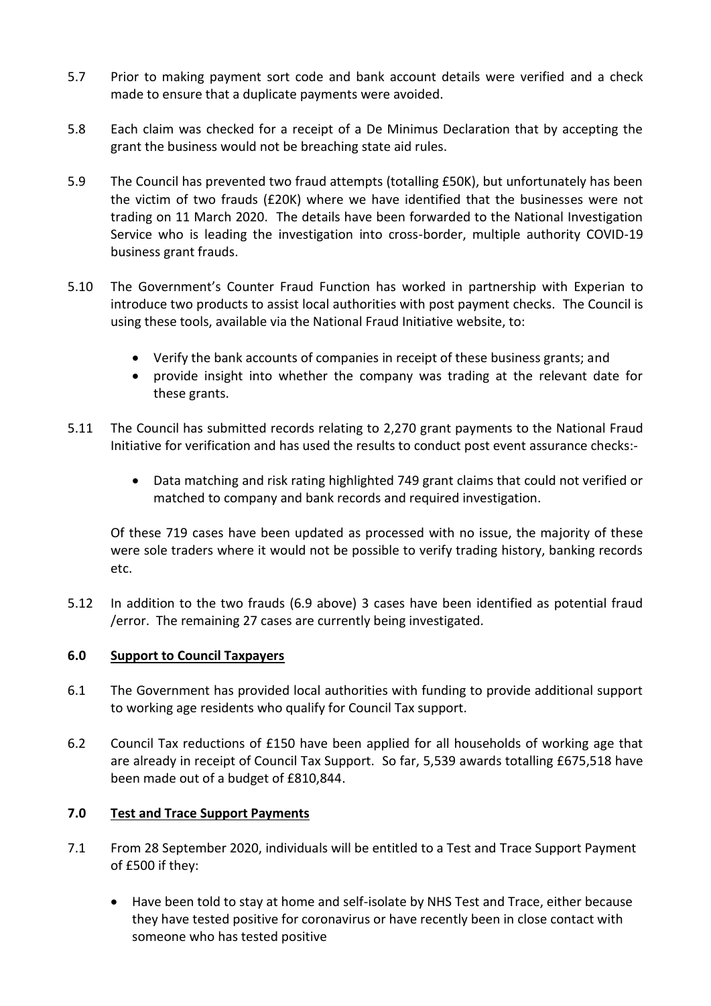- 5.7 Prior to making payment sort code and bank account details were verified and a check made to ensure that a duplicate payments were avoided.
- 5.8 Each claim was checked for a receipt of a De Minimus Declaration that by accepting the grant the business would not be breaching state aid rules.
- 5.9 The Council has prevented two fraud attempts (totalling £50K), but unfortunately has been the victim of two frauds (£20K) where we have identified that the businesses were not trading on 11 March 2020. The details have been forwarded to the National Investigation Service who is leading the investigation into cross-border, multiple authority COVID-19 business grant frauds.
- 5.10 The Government's Counter Fraud Function has worked in partnership with Experian to introduce two products to assist local authorities with post payment checks. The Council is using these tools, available via the National Fraud Initiative website, to:
	- Verify the bank accounts of companies in receipt of these business grants; and
	- provide insight into whether the company was trading at the relevant date for these grants.
- 5.11 The Council has submitted records relating to 2,270 grant payments to the National Fraud Initiative for verification and has used the results to conduct post event assurance checks:-
	- Data matching and risk rating highlighted 749 grant claims that could not verified or matched to company and bank records and required investigation.

Of these 719 cases have been updated as processed with no issue, the majority of these were sole traders where it would not be possible to verify trading history, banking records etc.

5.12 In addition to the two frauds (6.9 above) 3 cases have been identified as potential fraud /error. The remaining 27 cases are currently being investigated.

# **6.0 Support to Council Taxpayers**

- 6.1 The Government has provided local authorities with funding to provide additional support to working age residents who qualify for Council Tax support.
- 6.2 Council Tax reductions of £150 have been applied for all households of working age that are already in receipt of Council Tax Support. So far, 5,539 awards totalling £675,518 have been made out of a budget of £810,844.

# **7.0 Test and Trace Support Payments**

- 7.1 From 28 September 2020, individuals will be entitled to a Test and Trace Support Payment of £500 if they:
	- Have been told to stay at home and self-isolate by NHS Test and Trace, either because they have tested positive for coronavirus or have recently been in close contact with someone who has tested positive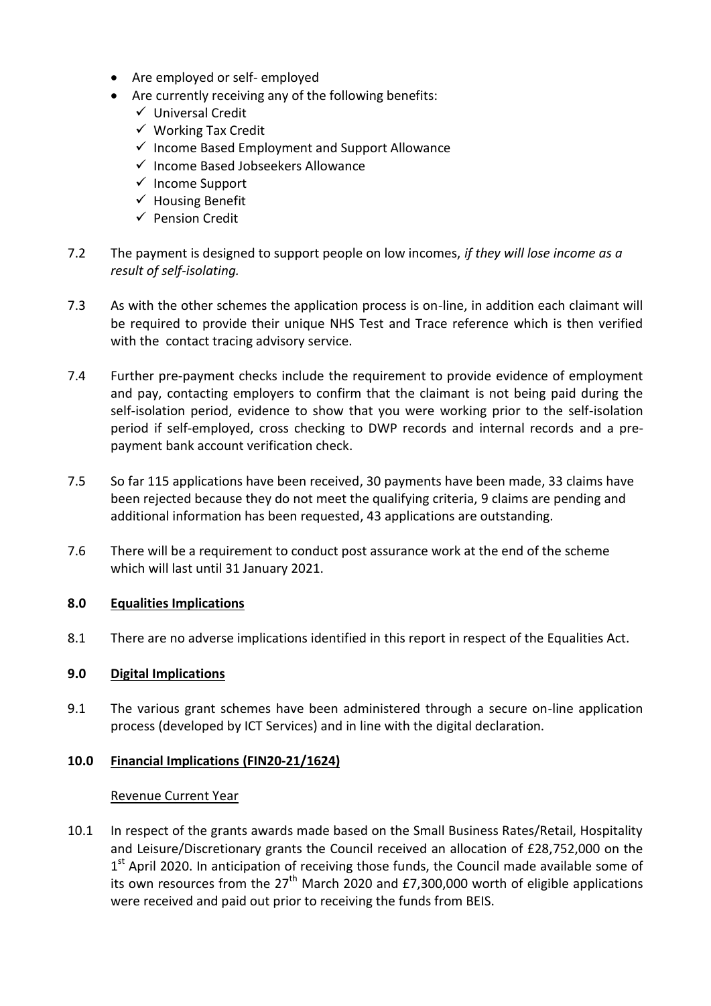- Are employed or self- employed
- Are currently receiving any of the following benefits:
	- $\checkmark$  Universal Credit
	- $\checkmark$  Working Tax Credit
	- $\checkmark$  Income Based Employment and Support Allowance
	- $\checkmark$  Income Based Jobseekers Allowance
	- $\checkmark$  Income Support
	- $\checkmark$  Housing Benefit
	- $\checkmark$  Pension Credit
- 7.2 The payment is designed to support people on low incomes, *if they will lose income as a result of self-isolating.*
- 7.3 As with the other schemes the application process is on-line, in addition each claimant will be required to provide their unique NHS Test and Trace reference which is then verified with the contact tracing advisory service.
- 7.4 Further pre-payment checks include the requirement to provide evidence of employment and pay, contacting employers to confirm that the claimant is not being paid during the self-isolation period, evidence to show that you were working prior to the self-isolation period if self-employed, cross checking to DWP records and internal records and a prepayment bank account verification check.
- 7.5 So far 115 applications have been received, 30 payments have been made, 33 claims have been rejected because they do not meet the qualifying criteria, 9 claims are pending and additional information has been requested, 43 applications are outstanding.
- 7.6 There will be a requirement to conduct post assurance work at the end of the scheme which will last until 31 January 2021.

# **8.0 Equalities Implications**

8.1 There are no adverse implications identified in this report in respect of the Equalities Act.

### **9.0 Digital Implications**

9.1 The various grant schemes have been administered through a secure on-line application process (developed by ICT Services) and in line with the digital declaration.

# **10.0 Financial Implications (FIN20-21/1624)**

### Revenue Current Year

10.1 In respect of the grants awards made based on the Small Business Rates/Retail, Hospitality and Leisure/Discretionary grants the Council received an allocation of £28,752,000 on the 1<sup>st</sup> April 2020. In anticipation of receiving those funds, the Council made available some of its own resources from the  $27<sup>th</sup>$  March 2020 and £7,300,000 worth of eligible applications were received and paid out prior to receiving the funds from BEIS.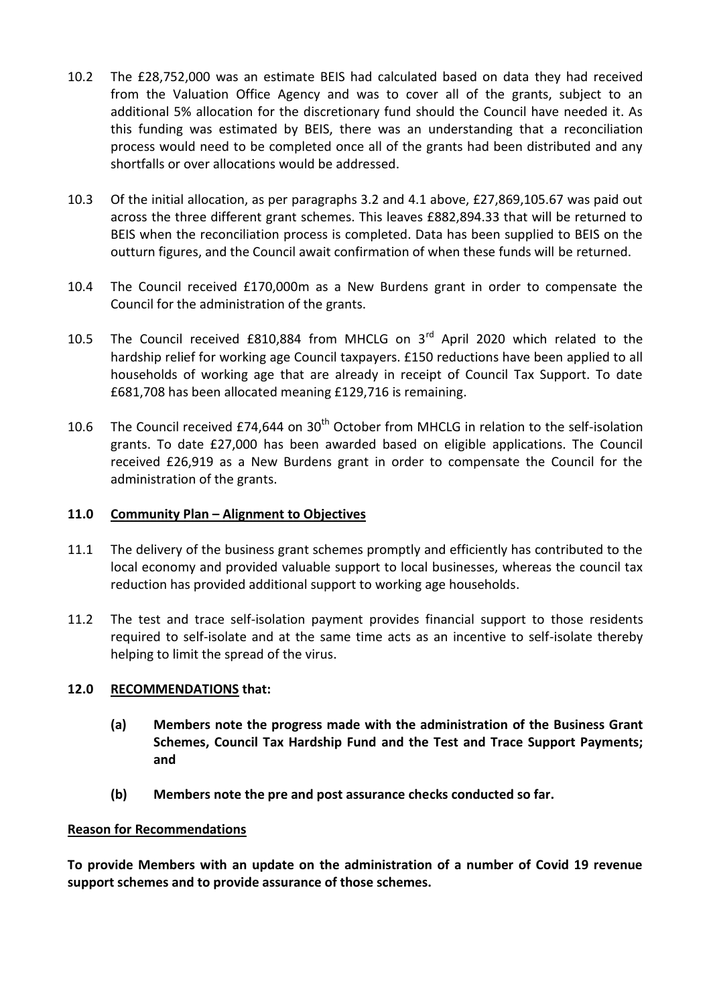- 10.2 The £28,752,000 was an estimate BEIS had calculated based on data they had received from the Valuation Office Agency and was to cover all of the grants, subject to an additional 5% allocation for the discretionary fund should the Council have needed it. As this funding was estimated by BEIS, there was an understanding that a reconciliation process would need to be completed once all of the grants had been distributed and any shortfalls or over allocations would be addressed.
- 10.3 Of the initial allocation, as per paragraphs 3.2 and 4.1 above, £27,869,105.67 was paid out across the three different grant schemes. This leaves £882,894.33 that will be returned to BEIS when the reconciliation process is completed. Data has been supplied to BEIS on the outturn figures, and the Council await confirmation of when these funds will be returned.
- 10.4 The Council received £170,000m as a New Burdens grant in order to compensate the Council for the administration of the grants.
- 10.5 The Council received £810,884 from MHCLG on 3<sup>rd</sup> April 2020 which related to the hardship relief for working age Council taxpayers. £150 reductions have been applied to all households of working age that are already in receipt of Council Tax Support. To date £681,708 has been allocated meaning £129,716 is remaining.
- 10.6 The Council received £74,644 on  $30<sup>th</sup>$  October from MHCLG in relation to the self-isolation grants. To date £27,000 has been awarded based on eligible applications. The Council received £26,919 as a New Burdens grant in order to compensate the Council for the administration of the grants.

### **11.0 Community Plan – Alignment to Objectives**

- 11.1 The delivery of the business grant schemes promptly and efficiently has contributed to the local economy and provided valuable support to local businesses, whereas the council tax reduction has provided additional support to working age households.
- 11.2 The test and trace self-isolation payment provides financial support to those residents required to self-isolate and at the same time acts as an incentive to self-isolate thereby helping to limit the spread of the virus.

# **12.0 RECOMMENDATIONS that:**

- **(a) Members note the progress made with the administration of the Business Grant Schemes, Council Tax Hardship Fund and the Test and Trace Support Payments; and**
- **(b) Members note the pre and post assurance checks conducted so far.**

### **Reason for Recommendations**

**To provide Members with an update on the administration of a number of Covid 19 revenue support schemes and to provide assurance of those schemes.**